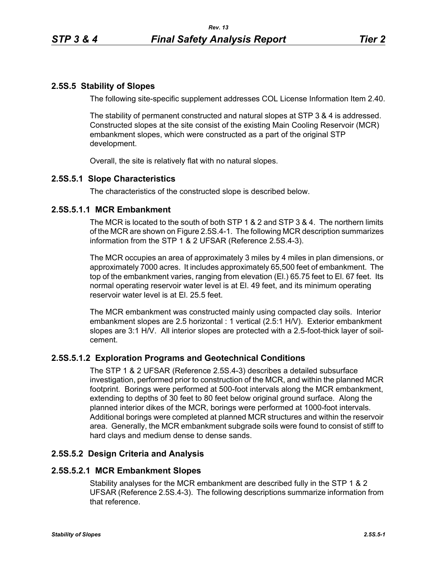# **2.5S.5 Stability of Slopes**

The following site-specific supplement addresses COL License Information Item 2.40.

The stability of permanent constructed and natural slopes at STP 3 & 4 is addressed. Constructed slopes at the site consist of the existing Main Cooling Reservoir (MCR) embankment slopes, which were constructed as a part of the original STP development.

Overall, the site is relatively flat with no natural slopes.

### **2.5S.5.1 Slope Characteristics**

The characteristics of the constructed slope is described below.

### **2.5S.5.1.1 MCR Embankment**

The MCR is located to the south of both STP 1 & 2 and STP 3 & 4. The northern limits of the MCR are shown on Figure 2.5S.4-1. The following MCR description summarizes information from the STP 1 & 2 UFSAR (Reference 2.5S.4-3).

The MCR occupies an area of approximately 3 miles by 4 miles in plan dimensions, or approximately 7000 acres. It includes approximately 65,500 feet of embankment. The top of the embankment varies, ranging from elevation (El.) 65.75 feet to El. 67 feet. Its normal operating reservoir water level is at El. 49 feet, and its minimum operating reservoir water level is at El. 25.5 feet.

The MCR embankment was constructed mainly using compacted clay soils. Interior embankment slopes are 2.5 horizontal : 1 vertical (2.5:1 H/V). Exterior embankment slopes are 3:1 H/V. All interior slopes are protected with a 2.5-foot-thick layer of soilcement.

### **2.5S.5.1.2 Exploration Programs and Geotechnical Conditions**

The STP 1 & 2 UFSAR (Reference 2.5S.4-3) describes a detailed subsurface investigation, performed prior to construction of the MCR, and within the planned MCR footprint. Borings were performed at 500-foot intervals along the MCR embankment, extending to depths of 30 feet to 80 feet below original ground surface. Along the planned interior dikes of the MCR, borings were performed at 1000-foot intervals. Additional borings were completed at planned MCR structures and within the reservoir area. Generally, the MCR embankment subgrade soils were found to consist of stiff to hard clays and medium dense to dense sands.

### **2.5S.5.2 Design Criteria and Analysis**

### **2.5S.5.2.1 MCR Embankment Slopes**

Stability analyses for the MCR embankment are described fully in the STP 1 & 2 UFSAR (Reference 2.5S.4-3). The following descriptions summarize information from that reference.